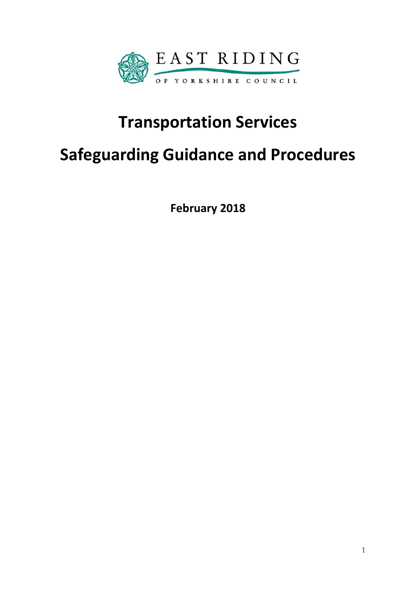

# **Transportation Services**

# **Safeguarding Guidance and Procedures**

**February 2018**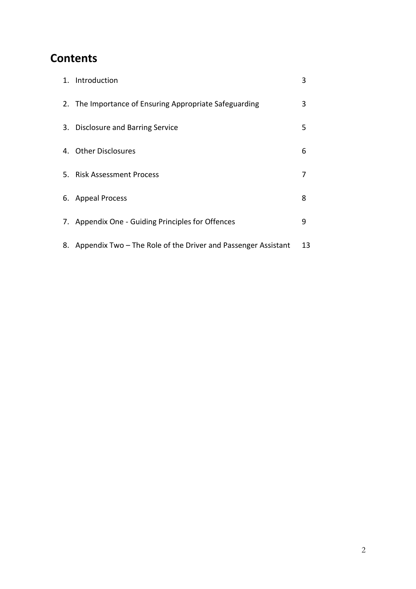# **Contents**

| 1. Introduction                                                  | 3  |
|------------------------------------------------------------------|----|
| 2. The Importance of Ensuring Appropriate Safeguarding           | 3  |
| 3. Disclosure and Barring Service                                | 5  |
| 4. Other Disclosures                                             | 6  |
| 5. Risk Assessment Process                                       | 7  |
| 6. Appeal Process                                                | 8  |
| 7. Appendix One - Guiding Principles for Offences                | 9  |
| 8. Appendix Two – The Role of the Driver and Passenger Assistant | 13 |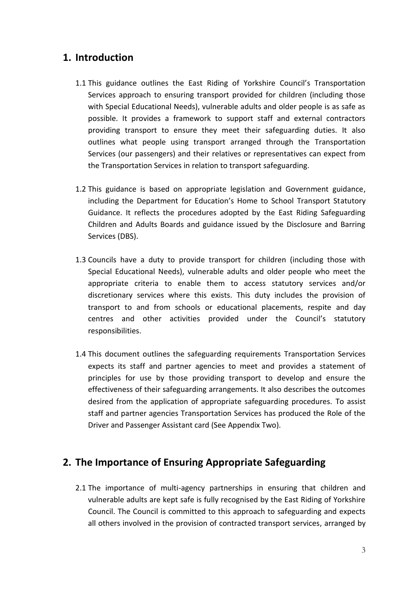#### **1. Introduction**

- 1.1 This guidance outlines the East Riding of Yorkshire Council's Transportation Services approach to ensuring transport provided for children (including those with Special Educational Needs), vulnerable adults and older people is as safe as possible. It provides a framework to support staff and external contractors providing transport to ensure they meet their safeguarding duties. It also outlines what people using transport arranged through the Transportation Services (our passengers) and their relatives or representatives can expect from the Transportation Services in relation to transport safeguarding.
- 1.2 This guidance is based on appropriate legislation and Government guidance, including the Department for Education's Home to School Transport Statutory Guidance. It reflects the procedures adopted by the East Riding Safeguarding Children and Adults Boards and guidance issued by the Disclosure and Barring Services (DBS).
- 1.3 Councils have a duty to provide transport for children (including those with Special Educational Needs), vulnerable adults and older people who meet the appropriate criteria to enable them to access statutory services and/or discretionary services where this exists. This duty includes the provision of transport to and from schools or educational placements, respite and day centres and other activities provided under the Council's statutory responsibilities.
- 1.4 This document outlines the safeguarding requirements Transportation Services expects its staff and partner agencies to meet and provides a statement of principles for use by those providing transport to develop and ensure the effectiveness of their safeguarding arrangements. It also describes the outcomes desired from the application of appropriate safeguarding procedures. To assist staff and partner agencies Transportation Services has produced the Role of the Driver and Passenger Assistant card (See Appendix Two).

## **2. The Importance of Ensuring Appropriate Safeguarding**

2.1 The importance of multi-agency partnerships in ensuring that children and vulnerable adults are kept safe is fully recognised by the East Riding of Yorkshire Council. The Council is committed to this approach to safeguarding and expects all others involved in the provision of contracted transport services, arranged by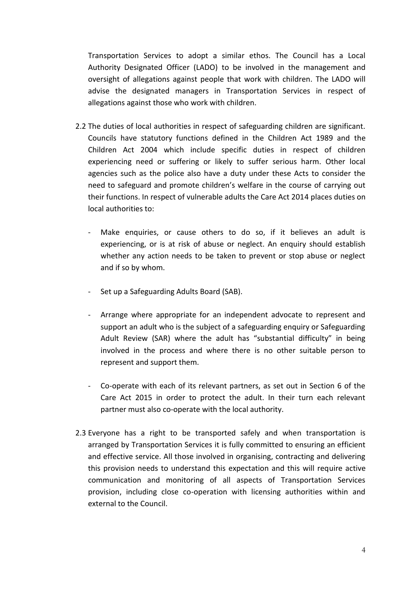Transportation Services to adopt a similar ethos. The Council has a Local Authority Designated Officer (LADO) to be involved in the management and oversight of allegations against people that work with children. The LADO will advise the designated managers in Transportation Services in respect of allegations against those who work with children.

- 2.2 The duties of local authorities in respect of safeguarding children are significant. Councils have statutory functions defined in the Children Act 1989 and the Children Act 2004 which include specific duties in respect of children experiencing need or suffering or likely to suffer serious harm. Other local agencies such as the police also have a duty under these Acts to consider the need to safeguard and promote children's welfare in the course of carrying out their functions. In respect of vulnerable adults the Care Act 2014 places duties on local authorities to:
	- Make enquiries, or cause others to do so, if it believes an adult is experiencing, or is at risk of abuse or neglect. An enquiry should establish whether any action needs to be taken to prevent or stop abuse or neglect and if so by whom.
	- Set up a Safeguarding Adults Board (SAB).
	- Arrange where appropriate for an independent advocate to represent and support an adult who is the subject of a safeguarding enquiry or Safeguarding Adult Review (SAR) where the adult has "substantial difficulty" in being involved in the process and where there is no other suitable person to represent and support them.
	- Co-operate with each of its relevant partners, as set out in Section 6 of the Care Act 2015 in order to protect the adult. In their turn each relevant partner must also co-operate with the local authority.
- 2.3 Everyone has a right to be transported safely and when transportation is arranged by Transportation Services it is fully committed to ensuring an efficient and effective service. All those involved in organising, contracting and delivering this provision needs to understand this expectation and this will require active communication and monitoring of all aspects of Transportation Services provision, including close co-operation with licensing authorities within and external to the Council.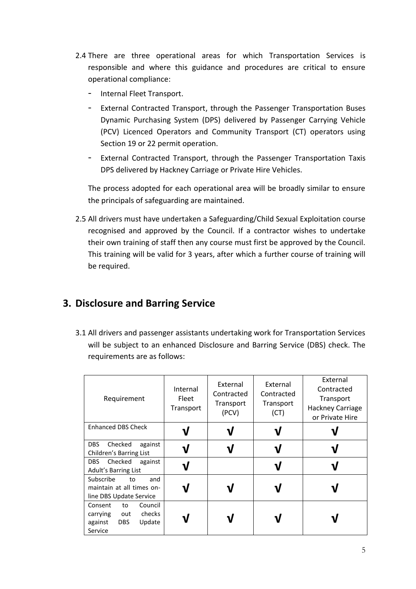- 2.4 There are three operational areas for which Transportation Services is responsible and where this guidance and procedures are critical to ensure operational compliance:
	- Internal Fleet Transport.
	- External Contracted Transport, through the Passenger Transportation Buses Dynamic Purchasing System (DPS) delivered by Passenger Carrying Vehicle (PCV) Licenced Operators and Community Transport (CT) operators using Section 19 or 22 permit operation.
	- External Contracted Transport, through the Passenger Transportation Taxis DPS delivered by Hackney Carriage or Private Hire Vehicles.

The process adopted for each operational area will be broadly similar to ensure the principals of safeguarding are maintained.

2.5 All drivers must have undertaken a Safeguarding/Child Sexual Exploitation course recognised and approved by the Council. If a contractor wishes to undertake their own training of staff then any course must first be approved by the Council. This training will be valid for 3 years, after which a further course of training will be required.

## **3. Disclosure and Barring Service**

3.1 All drivers and passenger assistants undertaking work for Transportation Services will be subject to an enhanced Disclosure and Barring Service (DBS) check. The requirements are as follows:

| Requirement                                                                                         | Internal<br>Fleet<br>Transport | External<br>Contracted<br>Transport<br>(PCV) | External<br>Contracted<br>Transport<br>(CT) | External<br>Contracted<br>Transport<br>Hackney Carriage<br>or Private Hire |
|-----------------------------------------------------------------------------------------------------|--------------------------------|----------------------------------------------|---------------------------------------------|----------------------------------------------------------------------------|
| <b>Enhanced DBS Check</b>                                                                           |                                |                                              |                                             |                                                                            |
| <b>DBS</b><br>Checked<br>against<br>Children's Barring List                                         |                                |                                              |                                             |                                                                            |
| Checked<br>DBS<br>against<br>Adult's Barring List                                                   |                                |                                              |                                             |                                                                            |
| Subscribe<br>and<br>to<br>maintain at all times on-<br>line DBS Update Service                      |                                |                                              |                                             |                                                                            |
| Council<br>Consent<br>to<br>checks<br>carrying<br>out<br><b>DBS</b><br>Update<br>against<br>Service |                                |                                              |                                             |                                                                            |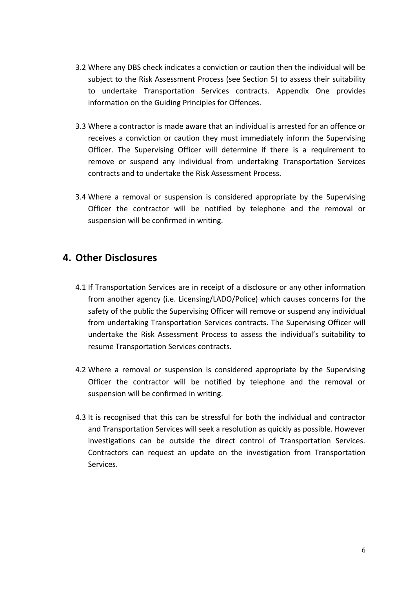- 3.2 Where any DBS check indicates a conviction or caution then the individual will be subject to the Risk Assessment Process (see Section 5) to assess their suitability to undertake Transportation Services contracts. Appendix One provides information on the Guiding Principles for Offences.
- 3.3 Where a contractor is made aware that an individual is arrested for an offence or receives a conviction or caution they must immediately inform the Supervising Officer. The Supervising Officer will determine if there is a requirement to remove or suspend any individual from undertaking Transportation Services contracts and to undertake the Risk Assessment Process.
- 3.4 Where a removal or suspension is considered appropriate by the Supervising Officer the contractor will be notified by telephone and the removal or suspension will be confirmed in writing.

#### **4. Other Disclosures**

- 4.1 If Transportation Services are in receipt of a disclosure or any other information from another agency (i.e. Licensing/LADO/Police) which causes concerns for the safety of the public the Supervising Officer will remove or suspend any individual from undertaking Transportation Services contracts. The Supervising Officer will undertake the Risk Assessment Process to assess the individual's suitability to resume Transportation Services contracts.
- 4.2 Where a removal or suspension is considered appropriate by the Supervising Officer the contractor will be notified by telephone and the removal or suspension will be confirmed in writing.
- 4.3 It is recognised that this can be stressful for both the individual and contractor and Transportation Services will seek a resolution as quickly as possible. However investigations can be outside the direct control of Transportation Services. Contractors can request an update on the investigation from Transportation Services.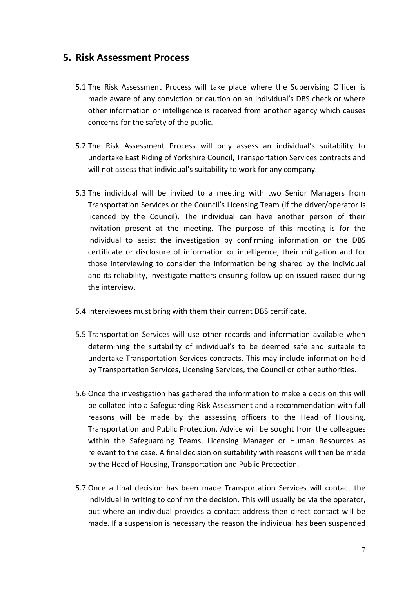#### **5. Risk Assessment Process**

- 5.1 The Risk Assessment Process will take place where the Supervising Officer is made aware of any conviction or caution on an individual's DBS check or where other information or intelligence is received from another agency which causes concerns for the safety of the public.
- 5.2 The Risk Assessment Process will only assess an individual's suitability to undertake East Riding of Yorkshire Council, Transportation Services contracts and will not assess that individual's suitability to work for any company.
- 5.3 The individual will be invited to a meeting with two Senior Managers from Transportation Services or the Council's Licensing Team (if the driver/operator is licenced by the Council). The individual can have another person of their invitation present at the meeting. The purpose of this meeting is for the individual to assist the investigation by confirming information on the DBS certificate or disclosure of information or intelligence, their mitigation and for those interviewing to consider the information being shared by the individual and its reliability, investigate matters ensuring follow up on issued raised during the interview.
- 5.4 Interviewees must bring with them their current DBS certificate.
- 5.5 Transportation Services will use other records and information available when determining the suitability of individual's to be deemed safe and suitable to undertake Transportation Services contracts. This may include information held by Transportation Services, Licensing Services, the Council or other authorities.
- 5.6 Once the investigation has gathered the information to make a decision this will be collated into a Safeguarding Risk Assessment and a recommendation with full reasons will be made by the assessing officers to the Head of Housing, Transportation and Public Protection. Advice will be sought from the colleagues within the Safeguarding Teams, Licensing Manager or Human Resources as relevant to the case. A final decision on suitability with reasons will then be made by the Head of Housing, Transportation and Public Protection.
- 5.7 Once a final decision has been made Transportation Services will contact the individual in writing to confirm the decision. This will usually be via the operator, but where an individual provides a contact address then direct contact will be made. If a suspension is necessary the reason the individual has been suspended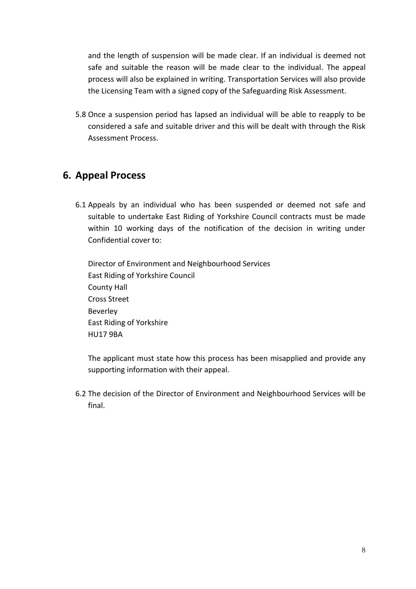and the length of suspension will be made clear. If an individual is deemed not safe and suitable the reason will be made clear to the individual. The appeal process will also be explained in writing. Transportation Services will also provide the Licensing Team with a signed copy of the Safeguarding Risk Assessment.

5.8 Once a suspension period has lapsed an individual will be able to reapply to be considered a safe and suitable driver and this will be dealt with through the Risk Assessment Process.

### **6. Appeal Process**

6.1 Appeals by an individual who has been suspended or deemed not safe and suitable to undertake East Riding of Yorkshire Council contracts must be made within 10 working days of the notification of the decision in writing under Confidential cover to:

Director of Environment and Neighbourhood Services East Riding of Yorkshire Council County Hall Cross Street Beverley East Riding of Yorkshire HU17 9BA

The applicant must state how this process has been misapplied and provide any supporting information with their appeal.

6.2 The decision of the Director of Environment and Neighbourhood Services will be final.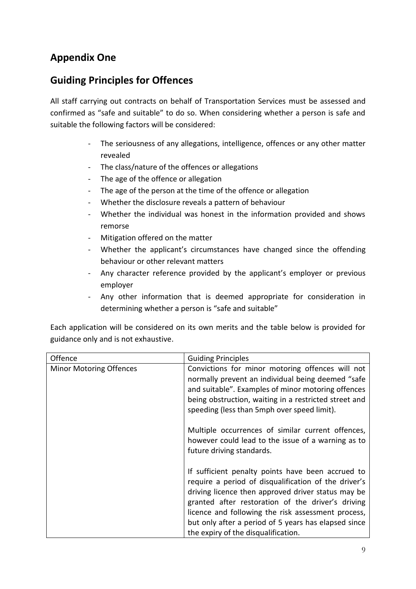## **Appendix One**

## **Guiding Principles for Offences**

All staff carrying out contracts on behalf of Transportation Services must be assessed and confirmed as "safe and suitable" to do so. When considering whether a person is safe and suitable the following factors will be considered:

- The seriousness of any allegations, intelligence, offences or any other matter revealed
- The class/nature of the offences or allegations
- The age of the offence or allegation
- The age of the person at the time of the offence or allegation
- Whether the disclosure reveals a pattern of behaviour
- Whether the individual was honest in the information provided and shows remorse
- Mitigation offered on the matter
- Whether the applicant's circumstances have changed since the offending behaviour or other relevant matters
- Any character reference provided by the applicant's employer or previous employer
- Any other information that is deemed appropriate for consideration in determining whether a person is "safe and suitable"

Each application will be considered on its own merits and the table below is provided for guidance only and is not exhaustive.

| Offence                        | <b>Guiding Principles</b>                                                                                                                                                                                                                                                                                                                                                 |
|--------------------------------|---------------------------------------------------------------------------------------------------------------------------------------------------------------------------------------------------------------------------------------------------------------------------------------------------------------------------------------------------------------------------|
| <b>Minor Motoring Offences</b> | Convictions for minor motoring offences will not<br>normally prevent an individual being deemed "safe<br>and suitable". Examples of minor motoring offences<br>being obstruction, waiting in a restricted street and<br>speeding (less than 5mph over speed limit).                                                                                                       |
|                                | Multiple occurrences of similar current offences,<br>however could lead to the issue of a warning as to<br>future driving standards.                                                                                                                                                                                                                                      |
|                                | If sufficient penalty points have been accrued to<br>require a period of disqualification of the driver's<br>driving licence then approved driver status may be<br>granted after restoration of the driver's driving<br>licence and following the risk assessment process,<br>but only after a period of 5 years has elapsed since<br>the expiry of the disqualification. |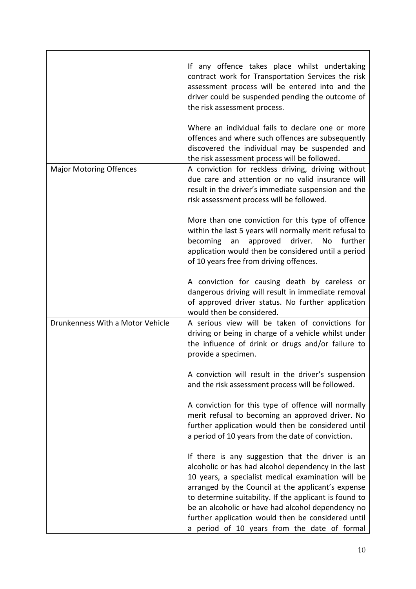|                                  | If any offence takes place whilst undertaking<br>contract work for Transportation Services the risk<br>assessment process will be entered into and the<br>driver could be suspended pending the outcome of<br>the risk assessment process.                                                                                                                                                                                               |
|----------------------------------|------------------------------------------------------------------------------------------------------------------------------------------------------------------------------------------------------------------------------------------------------------------------------------------------------------------------------------------------------------------------------------------------------------------------------------------|
|                                  | Where an individual fails to declare one or more<br>offences and where such offences are subsequently<br>discovered the individual may be suspended and<br>the risk assessment process will be followed.                                                                                                                                                                                                                                 |
| <b>Major Motoring Offences</b>   | A conviction for reckless driving, driving without<br>due care and attention or no valid insurance will<br>result in the driver's immediate suspension and the<br>risk assessment process will be followed.                                                                                                                                                                                                                              |
|                                  | More than one conviction for this type of offence<br>within the last 5 years will normally merit refusal to<br>becoming<br>approved driver.<br>No<br>further<br>an<br>application would then be considered until a period<br>of 10 years free from driving offences.                                                                                                                                                                     |
|                                  | A conviction for causing death by careless or<br>dangerous driving will result in immediate removal<br>of approved driver status. No further application<br>would then be considered.                                                                                                                                                                                                                                                    |
| Drunkenness With a Motor Vehicle | A serious view will be taken of convictions for<br>driving or being in charge of a vehicle whilst under<br>the influence of drink or drugs and/or failure to<br>provide a specimen.                                                                                                                                                                                                                                                      |
|                                  | A conviction will result in the driver's suspension<br>and the risk assessment process will be followed.                                                                                                                                                                                                                                                                                                                                 |
|                                  | A conviction for this type of offence will normally<br>merit refusal to becoming an approved driver. No<br>further application would then be considered until<br>a period of 10 years from the date of conviction.                                                                                                                                                                                                                       |
|                                  | If there is any suggestion that the driver is an<br>alcoholic or has had alcohol dependency in the last<br>10 years, a specialist medical examination will be<br>arranged by the Council at the applicant's expense<br>to determine suitability. If the applicant is found to<br>be an alcoholic or have had alcohol dependency no<br>further application would then be considered until<br>a period of 10 years from the date of formal |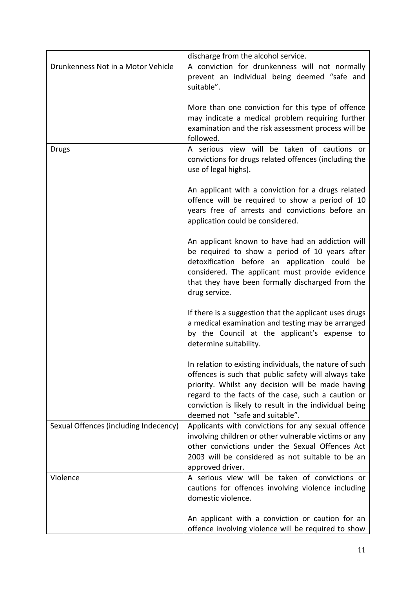|                                       | discharge from the alcohol service.                                                                                                                                                                                                                                                                                     |
|---------------------------------------|-------------------------------------------------------------------------------------------------------------------------------------------------------------------------------------------------------------------------------------------------------------------------------------------------------------------------|
| Drunkenness Not in a Motor Vehicle    | A conviction for drunkenness will not normally<br>prevent an individual being deemed "safe and<br>suitable".                                                                                                                                                                                                            |
|                                       | More than one conviction for this type of offence<br>may indicate a medical problem requiring further<br>examination and the risk assessment process will be<br>followed.                                                                                                                                               |
| <b>Drugs</b>                          | A serious view will be taken of cautions or<br>convictions for drugs related offences (including the<br>use of legal highs).                                                                                                                                                                                            |
|                                       | An applicant with a conviction for a drugs related<br>offence will be required to show a period of 10<br>years free of arrests and convictions before an<br>application could be considered.                                                                                                                            |
|                                       | An applicant known to have had an addiction will<br>be required to show a period of 10 years after<br>detoxification before an application could be<br>considered. The applicant must provide evidence<br>that they have been formally discharged from the<br>drug service.                                             |
|                                       | If there is a suggestion that the applicant uses drugs<br>a medical examination and testing may be arranged<br>by the Council at the applicant's expense to<br>determine suitability.                                                                                                                                   |
|                                       | In relation to existing individuals, the nature of such<br>offences is such that public safety will always take<br>priority. Whilst any decision will be made having<br>regard to the facts of the case, such a caution or<br>conviction is likely to result in the individual being<br>deemed not "safe and suitable". |
| Sexual Offences (including Indecency) | Applicants with convictions for any sexual offence<br>involving children or other vulnerable victims or any<br>other convictions under the Sexual Offences Act<br>2003 will be considered as not suitable to be an<br>approved driver.                                                                                  |
| Violence                              | A serious view will be taken of convictions or<br>cautions for offences involving violence including<br>domestic violence.                                                                                                                                                                                              |
|                                       | An applicant with a conviction or caution for an<br>offence involving violence will be required to show                                                                                                                                                                                                                 |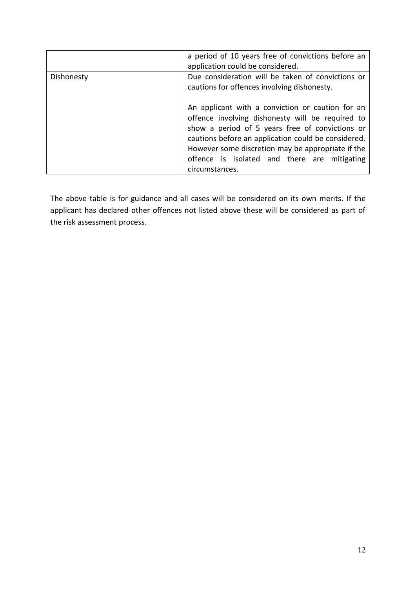|            | a period of 10 years free of convictions before an<br>application could be considered.                                                                                                                                                                                                                                                |
|------------|---------------------------------------------------------------------------------------------------------------------------------------------------------------------------------------------------------------------------------------------------------------------------------------------------------------------------------------|
| Dishonesty | Due consideration will be taken of convictions or<br>cautions for offences involving dishonesty.                                                                                                                                                                                                                                      |
|            | An applicant with a conviction or caution for an<br>offence involving dishonesty will be required to<br>show a period of 5 years free of convictions or<br>cautions before an application could be considered.<br>However some discretion may be appropriate if the<br>offence is isolated and there are mitigating<br>circumstances. |

The above table is for guidance and all cases will be considered on its own merits. If the applicant has declared other offences not listed above these will be considered as part of the risk assessment process.